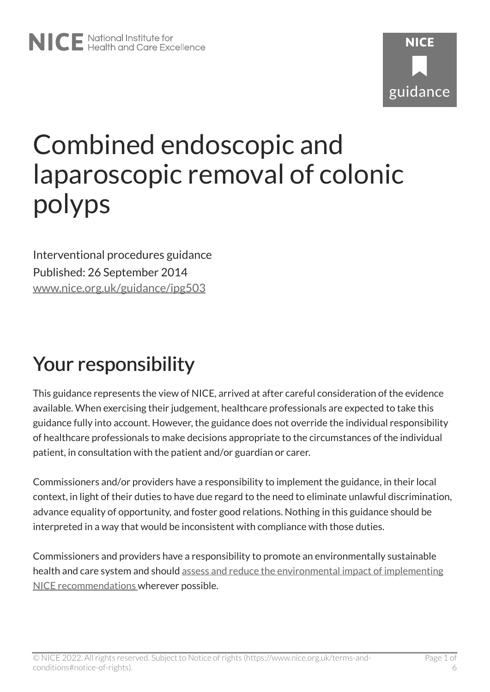# Combined endoscopic and laparoscopic removal of colonic polyps

Interventional procedures guidance Published: 26 September 2014 [www.nice.org.uk/guidance/ipg503](https://www.nice.org.uk/guidance/ipg503) 

# Your responsibility

This guidance represents the view of NICE, arrived at after careful consideration of the evidence available. When exercising their judgement, healthcare professionals are expected to take this guidance fully into account. However, the guidance does not override the individual responsibility of healthcare professionals to make decisions appropriate to the circumstances of the individual patient, in consultation with the patient and/or guardian or carer.

Commissioners and/or providers have a responsibility to implement the guidance, in their local context, in light of their duties to have due regard to the need to eliminate unlawful discrimination, advance equality of opportunity, and foster good relations. Nothing in this guidance should be interpreted in a way that would be inconsistent with compliance with those duties.

Commissioners and providers have a responsibility to promote an environmentally sustainable health and care system and should [assess and reduce the environmental impact of implementing](https://www.nice.org.uk/about/who-we-are/sustainability)  [NICE recommendations w](https://www.nice.org.uk/about/who-we-are/sustainability)herever possible.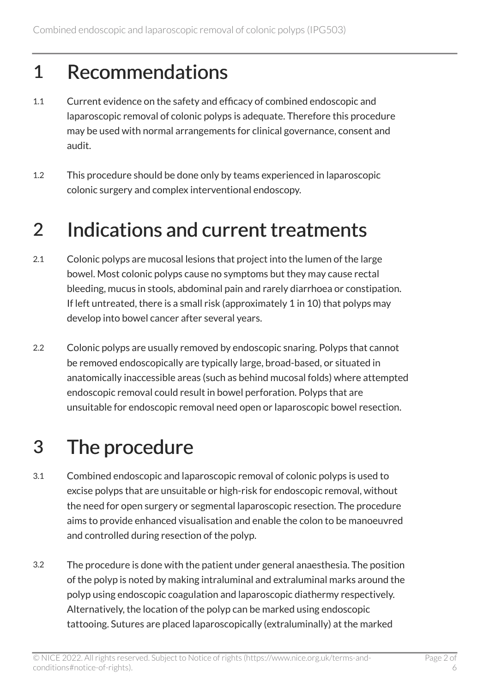#### 1 Recommendations

- 1.1 Current evidence on the safety and efficacy of combined endoscopic and laparoscopic removal of colonic polyps is adequate. Therefore this procedure may be used with normal arrangements for clinical governance, consent and audit.
- 1.2 This procedure should be done only by teams experienced in laparoscopic colonic surgery and complex interventional endoscopy.

#### 2 Indications and current treatments

- 2.1 Colonic polyps are mucosal lesions that project into the lumen of the large bowel. Most colonic polyps cause no symptoms but they may cause rectal bleeding, mucus in stools, abdominal pain and rarely diarrhoea or constipation. If left untreated, there is a small risk (approximately 1 in 10) that polyps may develop into bowel cancer after several years.
- 2.2 Colonic polyps are usually removed by endoscopic snaring. Polyps that cannot be removed endoscopically are typically large, broad-based, or situated in anatomically inaccessible areas (such as behind mucosal folds) where attempted endoscopic removal could result in bowel perforation. Polyps that are unsuitable for endoscopic removal need open or laparoscopic bowel resection.

## 3 The procedure

- 3.1 Combined endoscopic and laparoscopic removal of colonic polyps is used to excise polyps that are unsuitable or high-risk for endoscopic removal, without the need for open surgery or segmental laparoscopic resection. The procedure aims to provide enhanced visualisation and enable the colon to be manoeuvred and controlled during resection of the polyp.
- 3.2 The procedure is done with the patient under general anaesthesia. The position of the polyp is noted by making intraluminal and extraluminal marks around the polyp using endoscopic coagulation and laparoscopic diathermy respectively. Alternatively, the location of the polyp can be marked using endoscopic tattooing. Sutures are placed laparoscopically (extraluminally) at the marked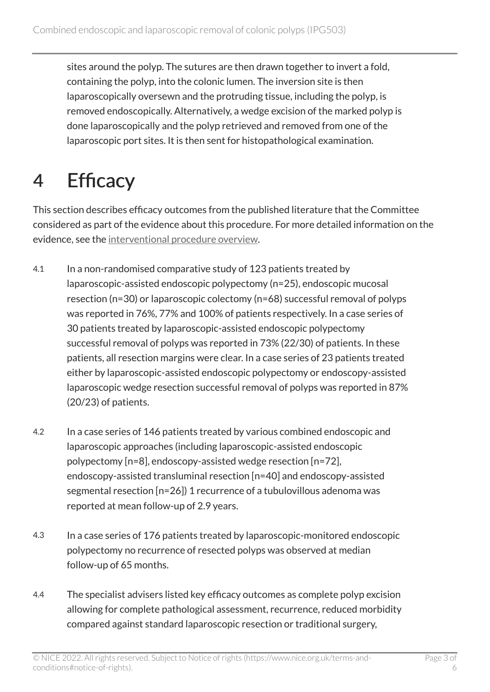sites around the polyp. The sutures are then drawn together to invert a fold, containing the polyp, into the colonic lumen. The inversion site is then laparoscopically oversewn and the protruding tissue, including the polyp, is removed endoscopically. Alternatively, a wedge excision of the marked polyp is done laparoscopically and the polyp retrieved and removed from one of the laparoscopic port sites. It is then sent for histopathological examination.

# 4 Efficacy

This section describes efficacy outcomes from the published literature that the Committee considered as part of the evidence about this procedure. For more detailed information on the evidence, see the [interventional procedure overview](http://www.nice.org.uk/Guidance/IPG503/evidence).

- 4.1 In a non-randomised comparative study of 123 patients treated by laparoscopic-assisted endoscopic polypectomy (n=25), endoscopic mucosal resection (n=30) or laparoscopic colectomy (n=68) successful removal of polyps was reported in 76%, 77% and 100% of patients respectively. In a case series of 30 patients treated by laparoscopic-assisted endoscopic polypectomy successful removal of polyps was reported in 73% (22/30) of patients. In these patients, all resection margins were clear. In a case series of 23 patients treated either by laparoscopic-assisted endoscopic polypectomy or endoscopy-assisted laparoscopic wedge resection successful removal of polyps was reported in 87% (20/23) of patients.
- 4.2 In a case series of 146 patients treated by various combined endoscopic and laparoscopic approaches (including laparoscopic-assisted endoscopic polypectomy [n=8], endoscopy-assisted wedge resection [n=72], endoscopy-assisted transluminal resection [n=40] and endoscopy-assisted segmental resection [n=26]) 1 recurrence of a tubulovillous adenoma was reported at mean follow-up of 2.9 years.
- 4.3 In a case series of 176 patients treated by laparoscopic-monitored endoscopic polypectomy no recurrence of resected polyps was observed at median follow-up of 65 months.
- 4.4 The specialist advisers listed key efficacy outcomes as complete polyp excision allowing for complete pathological assessment, recurrence, reduced morbidity compared against standard laparoscopic resection or traditional surgery,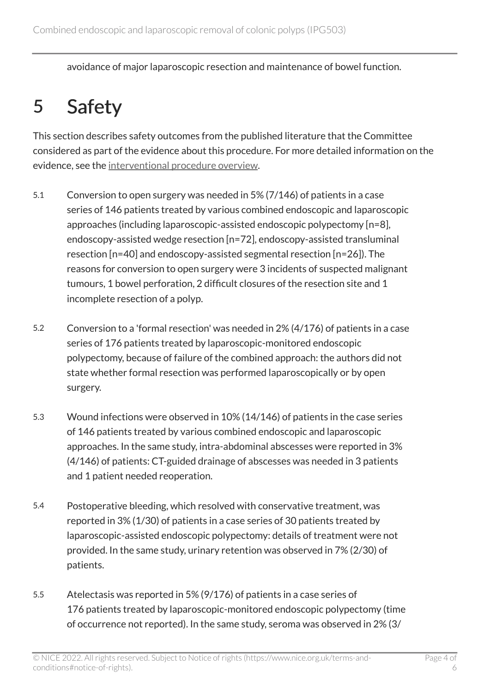avoidance of major laparoscopic resection and maintenance of bowel function.

## 5 Safety

This section describes safety outcomes from the published literature that the Committee considered as part of the evidence about this procedure. For more detailed information on the evidence, see the [interventional procedure overview](http://www.nice.org.uk/Guidance/IPG503/evidence).

- 5.1 Conversion to open surgery was needed in 5% (7/146) of patients in a case series of 146 patients treated by various combined endoscopic and laparoscopic approaches (including laparoscopic-assisted endoscopic polypectomy [n=8], endoscopy-assisted wedge resection [n=72], endoscopy-assisted transluminal resection [n=40] and endoscopy-assisted segmental resection [n=26]). The reasons for conversion to open surgery were 3 incidents of suspected malignant tumours, 1 bowel perforation, 2 difficult closures of the resection site and 1 incomplete resection of a polyp.
- 5.2 Conversion to a 'formal resection' was needed in 2% (4/176) of patients in a case series of 176 patients treated by laparoscopic-monitored endoscopic polypectomy, because of failure of the combined approach: the authors did not state whether formal resection was performed laparoscopically or by open surgery.
- 5.3 Wound infections were observed in 10% (14/146) of patients in the case series of 146 patients treated by various combined endoscopic and laparoscopic approaches. In the same study, intra-abdominal abscesses were reported in 3% (4/146) of patients: CT-guided drainage of abscesses was needed in 3 patients and 1 patient needed reoperation.
- 5.4 Postoperative bleeding, which resolved with conservative treatment, was reported in 3% (1/30) of patients in a case series of 30 patients treated by laparoscopic-assisted endoscopic polypectomy: details of treatment were not provided. In the same study, urinary retention was observed in 7% (2/30) of patients.
- 5.5 Atelectasis was reported in 5% (9/176) of patients in a case series of 176 patients treated by laparoscopic-monitored endoscopic polypectomy (time of occurrence not reported). In the same study, seroma was observed in 2% (3/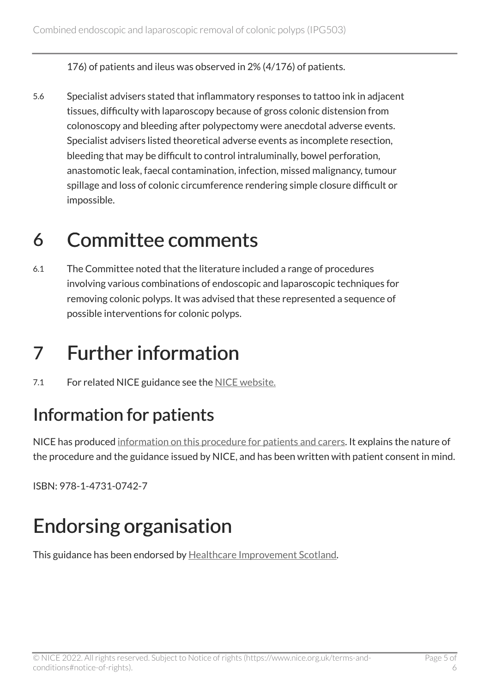176) of patients and ileus was observed in 2% (4/176) of patients.

5.6 Specialist advisers stated that inflammatory responses to tattoo ink in adjacent tissues, difficulty with laparoscopy because of gross colonic distension from colonoscopy and bleeding after polypectomy were anecdotal adverse events. Specialist advisers listed theoretical adverse events as incomplete resection, bleeding that may be difficult to control intraluminally, bowel perforation, anastomotic leak, faecal contamination, infection, missed malignancy, tumour spillage and loss of colonic circumference rendering simple closure difficult or impossible.

#### 6 Committee comments

6.1 The Committee noted that the literature included a range of procedures involving various combinations of endoscopic and laparoscopic techniques for removing colonic polyps. It was advised that these represented a sequence of possible interventions for colonic polyps.

## 7 Further information

7.1 For related NICE guidance see the [NICE website.](https://www.nice.org.uk/)

#### Information for patients

NICE has produced [information on this procedure for patients and carers](http://www.nice.org.uk/guidance/IPG503/InformationForPublic). It explains the nature of the procedure and the guidance issued by NICE, and has been written with patient consent in mind.

ISBN: 978-1-4731-0742-7

## Endorsing organisation

This guidance has been endorsed by [Healthcare Improvement Scotland.](http://www.healthcareimprovementscotland.org/)